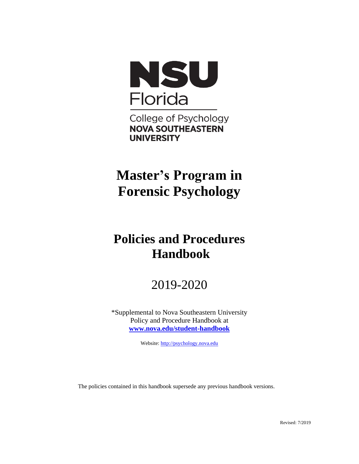

College of Psychology **NOVA SOUTHEASTERN UNIVERSITY** 

# **Master's Program in Forensic Psychology**

# **Policies and Procedures Handbook**

# 2019-2020

\*Supplemental to Nova Southeastern University Policy and Procedure Handbook at **[www.nova.edu/student-handbook](http://www.nova.edu/student-handbook)**

Website: [http://psychology.nova.edu](http://psychology.nova.edu/)

The policies contained in this handbook supersede any previous handbook versions.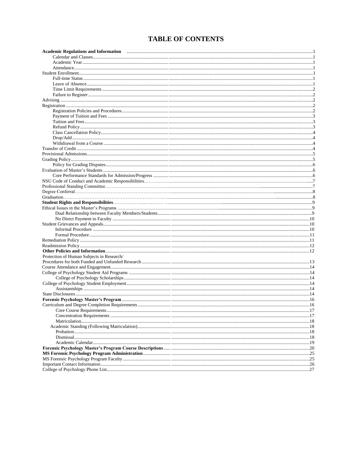# **TABLE OF CONTENTS**

| Academic Regulations and Information <b>maturity and accommodance of the Contract of Academic Regulations and Information</b> |  |
|-------------------------------------------------------------------------------------------------------------------------------|--|
|                                                                                                                               |  |
|                                                                                                                               |  |
|                                                                                                                               |  |
|                                                                                                                               |  |
|                                                                                                                               |  |
|                                                                                                                               |  |
|                                                                                                                               |  |
|                                                                                                                               |  |
|                                                                                                                               |  |
|                                                                                                                               |  |
|                                                                                                                               |  |
|                                                                                                                               |  |
|                                                                                                                               |  |
|                                                                                                                               |  |
|                                                                                                                               |  |
|                                                                                                                               |  |
|                                                                                                                               |  |
|                                                                                                                               |  |
|                                                                                                                               |  |
|                                                                                                                               |  |
|                                                                                                                               |  |
|                                                                                                                               |  |
|                                                                                                                               |  |
|                                                                                                                               |  |
|                                                                                                                               |  |
|                                                                                                                               |  |
|                                                                                                                               |  |
|                                                                                                                               |  |
|                                                                                                                               |  |
|                                                                                                                               |  |
|                                                                                                                               |  |
|                                                                                                                               |  |
|                                                                                                                               |  |
|                                                                                                                               |  |
|                                                                                                                               |  |
|                                                                                                                               |  |
| Protection of Human Subjects in Research/                                                                                     |  |
|                                                                                                                               |  |
|                                                                                                                               |  |
|                                                                                                                               |  |
|                                                                                                                               |  |
|                                                                                                                               |  |
|                                                                                                                               |  |
|                                                                                                                               |  |
|                                                                                                                               |  |
|                                                                                                                               |  |
|                                                                                                                               |  |
|                                                                                                                               |  |
|                                                                                                                               |  |
|                                                                                                                               |  |
|                                                                                                                               |  |
|                                                                                                                               |  |
|                                                                                                                               |  |
|                                                                                                                               |  |
|                                                                                                                               |  |
|                                                                                                                               |  |
|                                                                                                                               |  |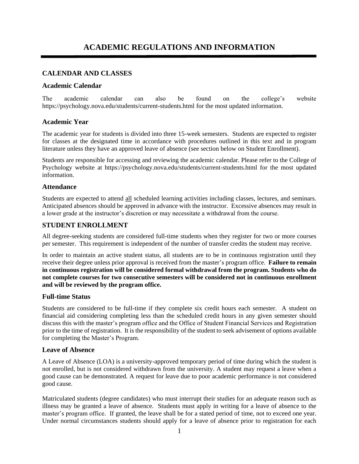# **ACADEMIC REGULATIONS AND INFORMATION**

# **CALENDAR AND CLASSES**

# **Academic Calendar**

The academic calendar can also be found on the college's website https://psychology.nova.edu/students/current-students.html for the most updated information.

# **Academic Year**

The academic year for students is divided into three 15-week semesters. Students are expected to register for classes at the designated time in accordance with procedures outlined in this text and in program literature unless they have an approved leave of absence (see section below on Student Enrollment).

Students are responsible for accessing and reviewing the academic calendar. Please refer to the College of Psychology website at https://psychology.nova.edu/students/current-students.html for the most updated information.

#### **Attendance**

Students are expected to attend all scheduled learning activities including classes, lectures, and seminars. Anticipated absences should be approved in advance with the instructor. Excessive absences may result in a lower grade at the instructor's discretion or may necessitate a withdrawal from the course.

# **STUDENT ENROLLMENT**

All degree-seeking students are considered full-time students when they register for two or more courses per semester. This requirement is independent of the number of transfer credits the student may receive.

In order to maintain an active student status, all students are to be in continuous registration until they receive their degree unless prior approval is received from the master's program office. **Failure to remain in continuous registration will be considered formal withdrawal from the program. Students who do not complete courses for two consecutive semesters will be considered not in continuous enrollment and will be reviewed by the program office.**

#### **Full-time Status**

Students are considered to be full-time if they complete six credit hours each semester. A student on financial aid considering completing less than the scheduled credit hours in any given semester should discuss this with the master's program office and the Office of Student Financial Services and Registration prior to the time of registration. It is the responsibility of the student to seek advisement of options available for completing the Master's Program.

#### **Leave of Absence**

A Leave of Absence (LOA) is a university-approved temporary period of time during which the student is not enrolled, but is not considered withdrawn from the university. A student may request a leave when a good cause can be demonstrated. A request for leave due to poor academic performance is not considered good cause.

Matriculated students (degree candidates) who must interrupt their studies for an adequate reason such as illness may be granted a leave of absence. Students must apply in writing for a leave of absence to the master's program office. If granted, the leave shall be for a stated period of time, not to exceed one year. Under normal circumstances students should apply for a leave of absence prior to registration for each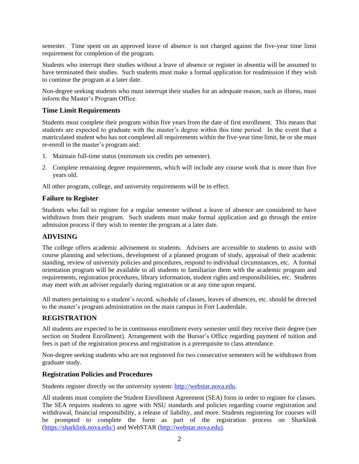semester. Time spent on an approved leave of absence is not charged against the five-year time limit requirement for completion of the program.

Students who interrupt their studies without a leave of absence or register in absentia will be assumed to have terminated their studies. Such students must make a formal application for readmission if they wish to continue the program at a later date.

Non-degree seeking students who must interrupt their studies for an adequate reason, such as illness, must inform the Master's Program Office.

# **Time Limit Requirements**

Students must complete their program within five years from the date of first enrollment. This means that students are expected to graduate with the master's degree within this time period. In the event that a matriculated student who has not completed all requirements within the five-year time limit, he or she must re-enroll in the master's program and:

- 1. Maintain full-time status (minimum six credits per semester).
- 2. Complete remaining degree requirements, which will include any course work that is more than five years old.

All other program, college, and university requirements will be in effect.

#### **Failure to Register**

Students who fail to register for a regular semester without a leave of absence are considered to have withdrawn from their program. Such students must make formal application and go through the entire admission process if they wish to reenter the program at a later date.

#### **ADVISING**

The college offers academic advisement to students. Advisers are accessible to students to assist with course planning and selections, development of a planned program of study, appraisal of their academic standing, review of university policies and procedures, respond to individual circumstances, etc. A formal orientation program will be available to all students to familiarize them with the academic program and requirements, registration procedures, library information, student rights and responsibilities, etc. Students may meet with an adviser regularly during registration or at any time upon request.

All matters pertaining to a student's record, schedule of classes, leaves of absences, etc. should be directed to the master's program administration on the main campus in Fort Lauderdale.

# **REGISTRATION**

All students are expected to be in continuous enrollment every semester until they receive their degree (see section on Student Enrollment). Arrangement with the Bursar's Office regarding payment of tuition and fees is part of the registration process and registration is a prerequisite to class attendance.

Non-degree seeking students who are not registered for two consecutive semesters will be withdrawn from graduate study.

#### **Registration Policies and Procedures**

Students register directly on the university system: [http://webstar.nova.edu.](http://webstar.nova.edu/)

All students must complete the Student Enrollment Agreement (SEA) form in order to register for classes. The SEA requires students to agree with NSU standards and policies regarding course registration and withdrawal, financial responsibility, a release of liability, and more. Students registering for courses will be prompted to complete the form as part of the registration process on Sharklink [\(https://sharklink.nova.edu/\)](https://sharklink.nova.edu/)) and WebSTAR [\(http://webstar.nova.edu\).](http://webstar.nova.edu)/)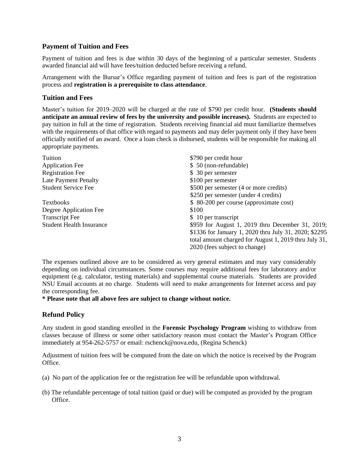# **Payment of Tuition and Fees**

Payment of tuition and fees is due within 30 days of the beginning of a particular semester. Students awarded financial aid will have fees/tuition deducted before receiving a refund.

Arrangement with the Bursar's Office regarding payment of tuition and fees is part of the registration process and **registration is a prerequisite to class attendance**.

## **Tuition and Fees**

Master's tuition for 2019–2020 will be charged at the rate of \$790 per credit hour. **(Students should anticipate an annual review of fees by the university and possible increases).** Students are expected to pay tuition in full at the time of registration. Students receiving financial aid must familiarize themselves with the requirements of that office with regard to payments and may defer payment only if they have been officially notified of an award. Once a loan check is disbursed, students will be responsible for making all appropriate payments.

| Tuition                         | \$790 per credit hour                                 |  |  |  |
|---------------------------------|-------------------------------------------------------|--|--|--|
| <b>Application Fee</b>          | \$ 50 (non-refundable)                                |  |  |  |
| <b>Registration Fee</b>         | \$ 30 per semester                                    |  |  |  |
| Late Payment Penalty            | \$100 per semester                                    |  |  |  |
| <b>Student Service Fee</b>      | \$500 per semester (4 or more credits)                |  |  |  |
|                                 | \$250 per semester (under 4 credits)                  |  |  |  |
| <b>Textbooks</b>                | \$ 80-200 per course (approximate cost)               |  |  |  |
| Degree Application Fee          | \$100                                                 |  |  |  |
| <b>Transcript Fee</b>           | \$ 10 per transcript                                  |  |  |  |
| <b>Student Health Insurance</b> | \$959 for August 1, 2019 thru December 31, 2019;      |  |  |  |
|                                 | \$1336 for January 1, 2020 thru July 31, 2020; \$2295 |  |  |  |
|                                 | total amount charged for August 1, 2019 thru July 31, |  |  |  |
|                                 | 2020 (fees subject to change)                         |  |  |  |
|                                 |                                                       |  |  |  |

The expenses outlined above are to be considered as very general estimates and may vary considerably depending on individual circumstances. Some courses may require additional fees for laboratory and/or equipment (e.g. calculator, testing materials) and supplemental course materials. Students are provided NSU Email accounts at no charge.Students will need to make arrangements for Internet access and pay the corresponding fee.

**\* Please note that all above fees are subject to change without notice.**

# **Refund Policy**

Any student in good standing enrolled in the **Forensic Psychology Program** wishing to withdraw from classes because of illness or some other satisfactory reason must contact the Master's Program Office immediately at 954-262-5757 or email: rschenck@nova.edu, (Regina Schenck)

Adjustment of tuition fees will be computed from the date on which the notice is received by the Program Office.

- (a) No part of the application fee or the registration fee will be refundable upon withdrawal.
- (b) The refundable percentage of total tuition (paid or due) will be computed as provided by the program Office.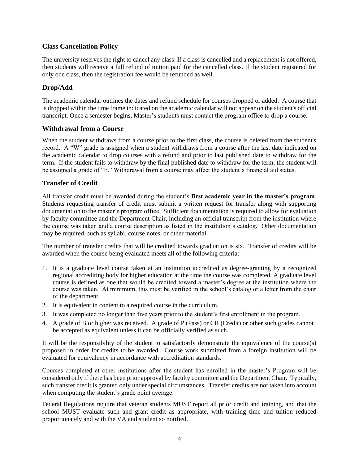# **Class Cancellation Policy**

The university reserves the right to cancel any class. If a class is cancelled and a replacement is not offered, then students will receive a full refund of tuition paid for the cancelled class. If the student registered for only one class, then the registration fee would be refunded as well.

# **Drop/Add**

The academic calendar outlines the dates and refund schedule for courses dropped or added. A course that is dropped within the time frame indicated on the academic calendar will not appear on the student's official transcript. Once a semester begins, Master's students must contact the program office to drop a course.

# **Withdrawal from a Course**

When the student withdraws from a course prior to the first class, the course is deleted from the student's record. A "W" grade is assigned when a student withdraws from a course after the last date indicated on the academic calendar to drop courses with a refund and prior to last published date to withdraw for the term. If the student fails to withdraw by the final published date to withdraw for the term, the student will be assigned a grade of "F." Withdrawal from a course may affect the student's financial aid status.

# **Transfer of Credit**

All transfer credit must be awarded during the student's **first academic year in the master's program**. Students requesting transfer of credit must submit a written request for transfer along with supporting documentation to the master's program office. Sufficient documentation is required to allow for evaluation by faculty committee and the Department Chair, including an official transcript from the institution where the course was taken and a course description as listed in the institution's catalog. Other documentation may be required, such as syllabi, course notes, or other material.

The number of transfer credits that will be credited towards graduation is six. Transfer of credits will be awarded when the course being evaluated meets all of the following criteria:

- 1. It is a graduate level course taken at an institution accredited as degree-granting by a recognized regional accrediting body for higher education at the time the course was completed. A graduate level course is defined as one that would be credited toward a master's degree at the institution where the course was taken. At minimum, this must be verified in the school's catalog or a letter from the chair of the department.
- 2. It is equivalent in content to a required course in the curriculum.
- 3. It was completed no longer than five years prior to the student's first enrollment in the program.
- 4. A grade of B or higher was received. A grade of P (Pass) or CR (Credit) or other such grades cannot be accepted as equivalent unless it can be officially verified as such.

It will be the responsibility of the student to satisfactorily demonstrate the equivalence of the course(s) proposed in order for credits to be awarded. Course work submitted from a foreign institution will be evaluated for equivalency in accordance with accreditation standards.

Courses completed at other institutions after the student has enrolled in the master's Program will be considered only if there has been prior approval by faculty committee and the Department Chair. Typically, such transfer credit is granted only under special circumstances. Transfer credits are not taken into account when computing the student's grade point average.

Federal Regulations require that veteran students MUST report all prior credit and training, and that the school MUST evaluate such and grant credit as appropriate, with training time and tuition reduced proportionately and with the VA and student so notified.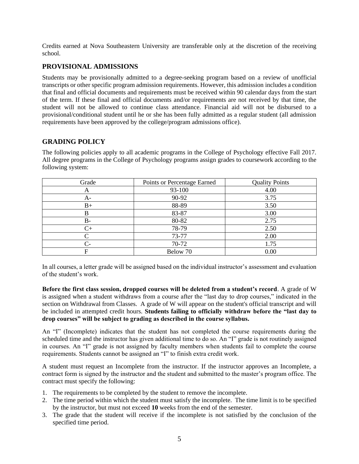Credits earned at Nova Southeastern University are transferable only at the discretion of the receiving school.

# **PROVISIONAL ADMISSIONS**

Students may be provisionally admitted to a degree-seeking program based on a review of unofficial transcripts or other specific program admission requirements. However, this admission includes a condition that final and official documents and requirements must be received within 90 calendar days from the start of the term. If these final and official documents and/or requirements are not received by that time, the student will not be allowed to continue class attendance. Financial aid will not be disbursed to a provisional/conditional student until he or she has been fully admitted as a regular student (all admission requirements have been approved by the college/program admissions office).

# **GRADING POLICY**

| Grade | Points or Percentage Earned | <b>Quality Points</b> |
|-------|-----------------------------|-----------------------|
| А     | 93-100                      | 4.00                  |
| A-    | 90-92                       | 3.75                  |
| $B+$  | 88-89                       | 3.50                  |
| B     | 83-87                       | 3.00                  |
| $B-$  | 80-82                       | 2.75                  |
| $C+$  | 78-79                       | 2.50                  |
| ⌒     | 73-77                       | 2.00                  |
| $C-$  | 70-72                       | 1.75                  |
| F     | Below 70                    | 0.00                  |

The following policies apply to all academic programs in the College of Psychology effective Fall 2017. All degree programs in the College of Psychology programs assign grades to coursework according to the following system:

In all courses, a letter grade will be assigned based on the individual instructor's assessment and evaluation of the student's work.

**Before the first class session, dropped courses will be deleted from a student's record**. A grade of W is assigned when a student withdraws from a course after the "last day to drop courses," indicated in the section on Withdrawal from Classes. A grade of W will appear on the student's official transcript and will be included in attempted credit hours. **Students failing to officially withdraw before the "last day to drop courses" will be subject to grading as described in the course syllabus.**

An "I" (Incomplete) indicates that the student has not completed the course requirements during the scheduled time and the instructor has given additional time to do so. An "I" grade is not routinely assigned in courses. An "I" grade is not assigned by faculty members when students fail to complete the course requirements. Students cannot be assigned an "I" to finish extra credit work.

A student must request an Incomplete from the instructor. If the instructor approves an Incomplete, a contract form is signed by the instructor and the student and submitted to the master's program office. The contract must specify the following:

- 1. The requirements to be completed by the student to remove the incomplete.
- 2. The time period within which the student must satisfy the incomplete. The time limit is to be specified by the instructor, but must not exceed **10** weeks from the end of the semester.
- 3. The grade that the student will receive if the incomplete is not satisfied by the conclusion of the specified time period.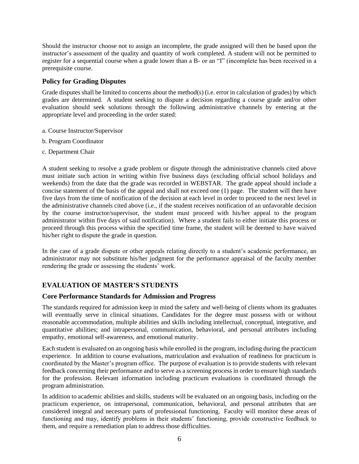Should the instructor choose not to assign an incomplete, the grade assigned will then be based upon the instructor's assessment of the quality and quantity of work completed. A student will not be permitted to register for a sequential course when a grade lower than a B- or an "I" (incomplete has been received in a prerequisite course.

# **Policy for Grading Disputes**

Grade disputes shall be limited to concerns about the method(s) (i.e. error in calculation of grades) by which grades are determined. A student seeking to dispute a decision regarding a course grade and/or other evaluation should seek solutions through the following administrative channels by entering at the appropriate level and proceeding in the order stated:

- a. Course Instructor/Supervisor
- b. Program Coordinator
- c. Department Chair

A student seeking to resolve a grade problem or dispute through the administrative channels cited above must initiate such action in writing within five business days (excluding official school holidays and weekends) from the date that the grade was recorded in WEBSTAR. The grade appeal should include a concise statement of the basis of the appeal and shall not exceed one (1) page. The student will then have five days from the time of notification of the decision at each level in order to proceed to the next level in the administrative channels cited above (i.e., if the student receives notification of an unfavorable decision by the course instructor/supervisor, the student must proceed with his/her appeal to the program administrator within five days of said notification). Where a student fails to either initiate this process or proceed through this process within the specified time frame, the student will be deemed to have waived his/her right to dispute the grade in question.

In the case of a grade dispute or other appeals relating directly to a student's academic performance, an administrator may not substitute his/her judgment for the performance appraisal of the faculty member rendering the grade or assessing the students' work.

# **EVALUATION OF MASTER'S STUDENTS**

# **Core Performance Standards for Admission and Progress**

The standards required for admission keep in mind the safety and well-being of clients whom its graduates will eventually serve in clinical situations. Candidates for the degree must possess with or without reasonable accommodation, multiple abilities and skills including intellectual, conceptual, integrative, and quantitative abilities; and intrapersonal, communication, behavioral, and personal attributes including empathy, emotional self-awareness, and emotional maturity.

Each student is evaluated on an ongoing basis while enrolled in the program, including during the practicum experience. In addition to course evaluations, matriculation and evaluation of readiness for practicum is coordinated by the Master's program office. The purpose of evaluation is to provide students with relevant feedback concerning their performance and to serve as a screening process in order to ensure high standards for the profession. Relevant information including practicum evaluations is coordinated through the program administration.

In addition to academic abilities and skills, students will be evaluated on an ongoing basis, including on the practicum experience, on intrapersonal, communication, behavioral, and personal attributes that are considered integral and necessary parts of professional functioning. Faculty will monitor these areas of functioning and may, identify problems in their students' functioning, provide constructive feedback to them, and require a remediation plan to address those difficulties.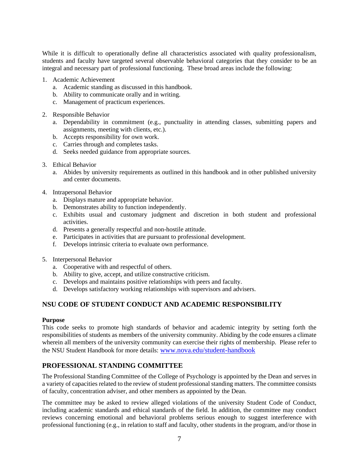While it is difficult to operationally define all characteristics associated with quality professionalism, students and faculty have targeted several observable behavioral categories that they consider to be an integral and necessary part of professional functioning. These broad areas include the following:

- 1. Academic Achievement
	- a. Academic standing as discussed in this handbook.
	- b. Ability to communicate orally and in writing.
	- c. Management of practicum experiences.
- 2. Responsible Behavior
	- a. Dependability in commitment (e.g., punctuality in attending classes, submitting papers and assignments, meeting with clients, etc.).
	- b. Accepts responsibility for own work.
	- c. Carries through and completes tasks.
	- d. Seeks needed guidance from appropriate sources.
- 3. Ethical Behavior
	- a. Abides by university requirements as outlined in this handbook and in other published university and center documents.
- 4. Intrapersonal Behavior
	- a. Displays mature and appropriate behavior.
	- b. Demonstrates ability to function independently.
	- c. Exhibits usual and customary judgment and discretion in both student and professional activities.
	- d. Presents a generally respectful and non-hostile attitude.
	- e. Participates in activities that are pursuant to professional development.
	- f. Develops intrinsic criteria to evaluate own performance.
- 5. Interpersonal Behavior
	- a. Cooperative with and respectful of others.
	- b. Ability to give, accept, and utilize constructive criticism.
	- c. Develops and maintains positive relationships with peers and faculty.
	- d. Develops satisfactory working relationships with supervisors and advisers.

# **NSU CODE OF STUDENT CONDUCT AND ACADEMIC RESPONSIBILITY**

#### **Purpose**

This code seeks to promote high standards of behavior and academic integrity by setting forth the responsibilities of students as members of the university community. Abiding by the code ensures a climate wherein all members of the university community can exercise their rights of membership. Please refer to the NSU Student Handbook for more details: [www.nova.edu/student-handbook](https://na01.safelinks.protection.outlook.com/?url=http%3A%2F%2Fwww.nova.edu%2Fstudent-handbook&data=02%7C01%7C%7Cb302b55babfc4787efa708d602b41e1e%7C2c2b2d312e3e4df1b571fb37c042ff1b%7C0%7C0%7C636699369947966932&sdata=6uvds0psFv2itl5CWci5jJ6Gc2om%2B2Xlsqu%2Bi29nww8%3D&reserved=0)

# **PROFESSIONAL STANDING COMMITTEE**

The Professional Standing Committee of the College of Psychology is appointed by the Dean and serves in a variety of capacities related to the review of student professional standing matters. The committee consists of faculty, concentration adviser, and other members as appointed by the Dean.

The committee may be asked to review alleged violations of the university Student Code of Conduct, including academic standards and ethical standards of the field. In addition, the committee may conduct reviews concerning emotional and behavioral problems serious enough to suggest interference with professional functioning (e.g., in relation to staff and faculty, other students in the program, and/or those in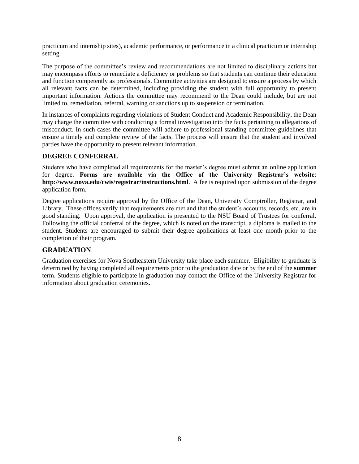practicum and internship sites), academic performance, or performance in a clinical practicum or internship setting.

The purpose of the committee's review and recommendations are not limited to disciplinary actions but may encompass efforts to remediate a deficiency or problems so that students can continue their education and function competently as professionals. Committee activities are designed to ensure a process by which all relevant facts can be determined, including providing the student with full opportunity to present important information. Actions the committee may recommend to the Dean could include, but are not limited to, remediation, referral, warning or sanctions up to suspension or termination.

In instances of complaints regarding violations of Student Conduct and Academic Responsibility, the Dean may charge the committee with conducting a formal investigation into the facts pertaining to allegations of misconduct. In such cases the committee will adhere to professional standing committee guidelines that ensure a timely and complete review of the facts. The process will ensure that the student and involved parties have the opportunity to present relevant information.

# **DEGREE CONFERRAL**

Students who have completed all requirements for the master's degree must submit an online application for degree. **Forms are available via the Office of the University Registrar's website**: **http://www.nova.edu/cwis/registrar/instructions.html**. A fee is required upon submission of the degree application form.

Degree applications require approval by the Office of the Dean, University Comptroller, Registrar, and Library. These offices verify that requirements are met and that the student's accounts, records, etc. are in good standing. Upon approval, the application is presented to the NSU Board of Trustees for conferral. Following the official conferral of the degree, which is noted on the transcript, a diploma is mailed to the student. Students are encouraged to submit their degree applications at least one month prior to the completion of their program.

# **GRADUATION**

Graduation exercises for Nova Southeastern University take place each summer. Eligibility to graduate is determined by having completed all requirements prior to the graduation date or by the end of the **summer** term. Students eligible to participate in graduation may contact the Office of the University Registrar for information about graduation ceremonies.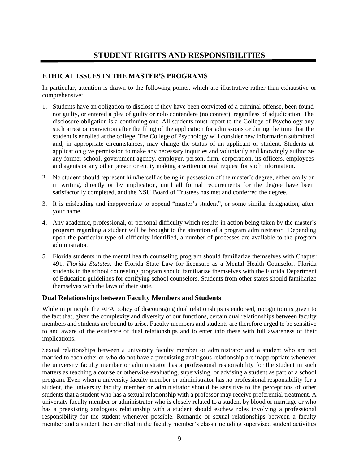# **STUDENT RIGHTS AND RESPONSIBILITIES**

# **ETHICAL ISSUES IN THE MASTER'S PROGRAMS**

In particular, attention is drawn to the following points, which are illustrative rather than exhaustive or comprehensive:

- 1. Students have an obligation to disclose if they have been convicted of a criminal offense, been found not guilty, or entered a plea of guilty or nolo contendere (no contest), regardless of adjudication. The disclosure obligation is a continuing one. All students must report to the College of Psychology any such arrest or conviction after the filing of the application for admissions or during the time that the student is enrolled at the college. The College of Psychology will consider new information submitted and, in appropriate circumstances, may change the status of an applicant or student. Students at application give permission to make any necessary inquiries and voluntarily and knowingly authorize any former school, government agency, employer, person, firm, corporation, its officers, employees and agents or any other person or entity making a written or oral request for such information.
- 2. No student should represent him/herself as being in possession of the master's degree, either orally or in writing, directly or by implication, until all formal requirements for the degree have been satisfactorily completed, and the NSU Board of Trustees has met and conferred the degree.
- 3. It is misleading and inappropriate to append "master's student", or some similar designation, after your name.
- 4. Any academic, professional, or personal difficulty which results in action being taken by the master's program regarding a student will be brought to the attention of a program administrator. Depending upon the particular type of difficulty identified, a number of processes are available to the program administrator.
- 5. Florida students in the mental health counseling program should familiarize themselves with Chapter 491, *Florida Statutes*, the Florida State Law for licensure as a Mental Health Counselor. Florida students in the school counseling program should familiarize themselves with the Florida Department of Education guidelines for certifying school counselors. Students from other states should familiarize themselves with the laws of their state.

# **Dual Relationships between Faculty Members and Students**

While in principle the APA policy of discouraging dual relationships is endorsed, recognition is given to the fact that, given the complexity and diversity of our functions, certain dual relationships between faculty members and students are bound to arise. Faculty members and students are therefore urged to be sensitive to and aware of the existence of dual relationships and to enter into these with full awareness of their implications.

Sexual relationships between a university faculty member or administrator and a student who are not married to each other or who do not have a preexisting analogous relationship are inappropriate whenever the university faculty member or administrator has a professional responsibility for the student in such matters as teaching a course or otherwise evaluating, supervising, or advising a student as part of a school program. Even when a university faculty member or administrator has no professional responsibility for a student, the university faculty member or administrator should be sensitive to the perceptions of other students that a student who has a sexual relationship with a professor may receive preferential treatment. A university faculty member or administrator who is closely related to a student by blood or marriage or who has a preexisting analogous relationship with a student should eschew roles involving a professional responsibility for the student whenever possible. Romantic or sexual relationships between a faculty member and a student then enrolled in the faculty member's class (including supervised student activities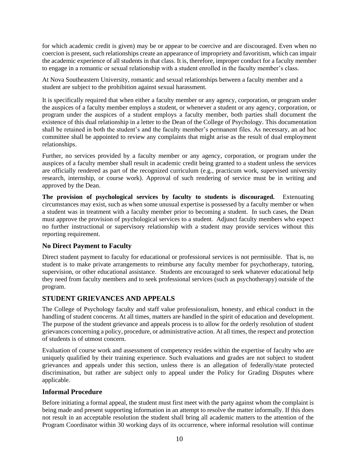for which academic credit is given) may be or appear to be coercive and are discouraged. Even when no coercion is present, such relationships create an appearance of impropriety and favoritism, which can impair the academic experience of all students in that class. It is, therefore, improper conduct for a faculty member to engage in a romantic or sexual relationship with a student enrolled in the faculty member's class.

At Nova Southeastern University, romantic and sexual relationships between a faculty member and a student are subject to the prohibition against sexual harassment.

It is specifically required that when either a faculty member or any agency, corporation, or program under the auspices of a faculty member employs a student, or whenever a student or any agency, corporation, or program under the auspices of a student employs a faculty member, both parties shall document the existence of this dual relationship in a letter to the Dean of the College of Psychology. This documentation shall be retained in both the student's and the faculty member's permanent files. As necessary, an ad hoc committee shall be appointed to review any complaints that might arise as the result of dual employment relationships.

Further, no services provided by a faculty member or any agency, corporation, or program under the auspices of a faculty member shall result in academic credit being granted to a student unless the services are officially rendered as part of the recognized curriculum (e.g., practicum work, supervised university research, internship, or course work). Approval of such rendering of service must be in writing and approved by the Dean.

**The provision of psychological services by faculty to students is discouraged.** Extenuating circumstances may exist, such as when some unusual expertise is possessed by a faculty member or when a student was in treatment with a faculty member prior to becoming a student. In such cases, the Dean must approve the provision of psychological services to a student. Adjunct faculty members who expect no further instructional or supervisory relationship with a student may provide services without this reporting requirement.

# **No Direct Payment to Faculty**

Direct student payment to faculty for educational or professional services is not permissible. That is, no student is to make private arrangements to reimburse any faculty member for psychotherapy, tutoring, supervision, or other educational assistance. Students are encouraged to seek whatever educational help they need from faculty members and to seek professional services (such as psychotherapy) outside of the program.

# **STUDENT GRIEVANCES AND APPEALS**

The College of Psychology faculty and staff value professionalism, honesty, and ethical conduct in the handling of student concerns. At all times, matters are handled in the spirit of education and development. The purpose of the student grievance and appeals process is to allow for the orderly resolution of student grievances concerning a policy, procedure, or administrative action. At all times, the respect and protection of students is of utmost concern.

Evaluation of course work and assessment of competency resides within the expertise of faculty who are uniquely qualified by their training experience. Such evaluations and grades are not subject to student grievances and appeals under this section, unless there is an allegation of federally/state protected discrimination, but rather are subject only to appeal under the Policy for Grading Disputes where applicable.

# **Informal Procedure**

Before initiating a formal appeal, the student must first meet with the party against whom the complaint is being made and present supporting information in an attempt to resolve the matter informally. If this does not result in an acceptable resolution the student shall bring all academic matters to the attention of the Program Coordinator within 30 working days of its occurrence, where informal resolution will continue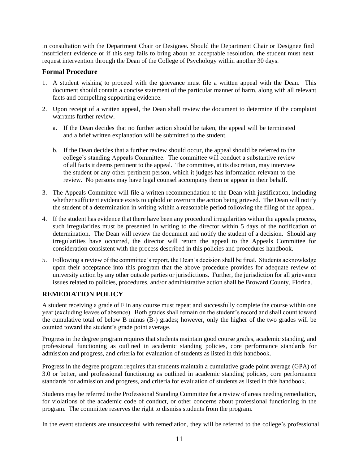in consultation with the Department Chair or Designee. Should the Department Chair or Designee find insufficient evidence or if this step fails to bring about an acceptable resolution, the student must next request intervention through the Dean of the College of Psychology within another 30 days.

# **Formal Procedure**

- 1. A student wishing to proceed with the grievance must file a written appeal with the Dean. This document should contain a concise statement of the particular manner of harm, along with all relevant facts and compelling supporting evidence.
- 2. Upon receipt of a written appeal, the Dean shall review the document to determine if the complaint warrants further review.
	- a. If the Dean decides that no further action should be taken, the appeal will be terminated and a brief written explanation will be submitted to the student.
	- b. If the Dean decides that a further review should occur, the appeal should be referred to the college's standing Appeals Committee. The committee will conduct a substantive review of all facts it deems pertinent to the appeal. The committee, at its discretion, may interview the student or any other pertinent person, which it judges has information relevant to the review. No persons may have legal counsel accompany them or appear in their behalf.
- 3. The Appeals Committee will file a written recommendation to the Dean with justification, including whether sufficient evidence exists to uphold or overturn the action being grieved. The Dean will notify the student of a determination in writing within a reasonable period following the filing of the appeal.
- 4. If the student has evidence that there have been any procedural irregularities within the appeals process, such irregularities must be presented in writing to the director within 5 days of the notification of determination. The Dean will review the document and notify the student of a decision. Should any irregularities have occurred, the director will return the appeal to the Appeals Committee for consideration consistent with the process described in this policies and procedures handbook.
- 5. Following a review of the committee's report, the Dean's decision shall be final. Students acknowledge upon their acceptance into this program that the above procedure provides for adequate review of university action by any other outside parties or jurisdictions. Further, the jurisdiction for all grievance issues related to policies, procedures, and/or administrative action shall be Broward County, Florida.

# **REMEDIATION POLICY**

A student receiving a grade of F in any course must repeat and successfully complete the course within one year (excluding leaves of absence). Both grades shall remain on the student's record and shall count toward the cumulative total of below B minus (B-) grades; however, only the higher of the two grades will be counted toward the student's grade point average.

Progress in the degree program requires that students maintain good course grades, academic standing, and professional functioning as outlined in academic standing policies, core performance standards for admission and progress, and criteria for evaluation of students as listed in this handbook.

Progress in the degree program requires that students maintain a cumulative grade point average (GPA) of 3.0 or better, and professional functioning as outlined in academic standing policies, core performance standards for admission and progress, and criteria for evaluation of students as listed in this handbook.

Students may be referred to the Professional Standing Committee for a review of areas needing remediation, for violations of the academic code of conduct, or other concerns about professional functioning in the program. The committee reserves the right to dismiss students from the program.

In the event students are unsuccessful with remediation, they will be referred to the college's professional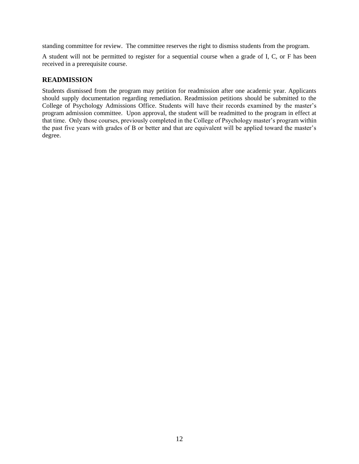standing committee for review. The committee reserves the right to dismiss students from the program.

A student will not be permitted to register for a sequential course when a grade of I, C, or F has been received in a prerequisite course.

# **READMISSION**

Students dismissed from the program may petition for readmission after one academic year. Applicants should supply documentation regarding remediation. Readmission petitions should be submitted to the College of Psychology Admissions Office. Students will have their records examined by the master's program admission committee. Upon approval, the student will be readmitted to the program in effect at that time. Only those courses, previously completed in the College of Psychology master's program within the past five years with grades of B or better and that are equivalent will be applied toward the master's degree.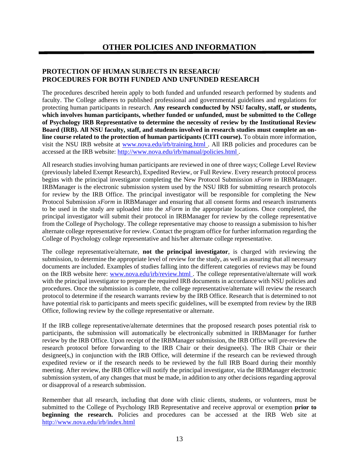# **PROTECTION OF HUMAN SUBJECTS IN RESEARCH/ PROCEDURES FOR BOTH FUNDED AND UNFUNDED RESEARCH**

The procedures described herein apply to both funded and unfunded research performed by students and faculty. The College adheres to published professional and governmental guidelines and regulations for protecting human participants in research. **Any research conducted by NSU faculty, staff, or students, which involves human participants, whether funded or unfunded, must be submitted to the College of Psychology IRB Representative to determine the necessity of review by the Institutional Review Board (IRB). All NSU faculty, staff, and students involved in research studies must complete an online course related to the protection of human participants (CITI course).** To obtain more information, visit the NSU IRB website at [www.nova.edu/irb/training.html](http://www.nova.edu/irb/training.html) . All IRB policies and procedures can be accessed at the IRB website:<http://www.nova.edu/irb/manual/policies.html>.

All research studies involving human participants are reviewed in one of three ways; College Level Review (previously labeled Exempt Research), Expedited Review, or Full Review. Every research protocol process begins with the principal investigator completing the New Protocol Submission *xForm* in IRBManager. IRBManager is the electronic submission system used by the NSU IRB for submitting research protocols for review by the IRB Office. The principal investigator will be responsible for completing the New Protocol Submission *xForm* in IRBManager and ensuring that all consent forms and research instruments to be used in the study are uploaded into the *xForm* in the appropriate locations. Once completed, the principal investigator will submit their protocol in IRBManager for review by the college representative from the College of Psychology. The college representative may choose to reassign a submission to his/her alternate college representative for review. Contact the program office for further information regarding the College of Psychology college representative and his/her alternate college representative.

The college representative/alternate, **not the principal investigator**, is charged with reviewing the submission, to determine the appropriate level of review for the study, as well as assuring that all necessary documents are included. Examples of studies falling into the different categories of reviews may be found on the IRB website here: [www.nova.edu/irb/review.html](http://www.nova.edu/irb/review.html) . The college representative/alternate will work with the principal investigator to prepare the required IRB documents in accordance with NSU policies and procedures. Once the submission is complete, the college representative/alternate will review the research protocol to determine if the research warrants review by the IRB Office. Research that is determined to not have potential risk to participants and meets specific guidelines, will be exempted from review by the IRB Office, following review by the college representative or alternate.

If the IRB college representative/alternate determines that the proposed research poses potential risk to participants, the submission will automatically be electronically submitted in IRBManager for further review by the IRB Office. Upon receipt of the IRBManager submission, the IRB Office will pre-review the research protocol before forwarding to the IRB Chair or their designee(s). The IRB Chair or their designee(s,) in conjunction with the IRB Office, will determine if the research can be reviewed through expedited review or if the research needs to be reviewed by the full IRB Board during their monthly meeting. After review, the IRB Office will notify the principal investigator, via the IRBManager electronic submission system, of any changes that must be made, in addition to any other decisions regarding approval or disapproval of a research submission.

Remember that all research, including that done with clinic clients, students, or volunteers, must be submitted to the College of Psychology IRB Representative and receive approval or exemption **prior to beginning the research.** Policies and procedures can be accessed at the IRB Web site at <http://www.nova.edu/irb/index.html>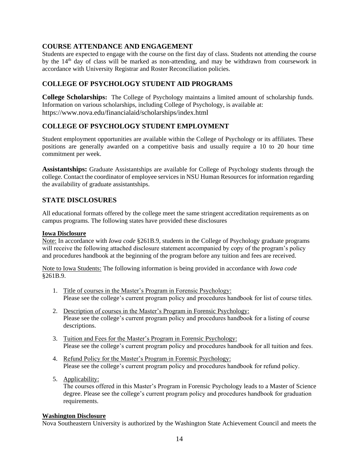# **COURSE ATTENDANCE AND ENGAGEMENT**

Students are expected to engage with the course on the first day of class. Students not attending the course by the  $14<sup>th</sup>$  day of class will be marked as non-attending, and may be withdrawn from coursework in accordance with University Registrar and Roster Reconciliation policies.

# **COLLEGE OF PSYCHOLOGY STUDENT AID PROGRAMS**

**College Scholarships:** The College of Psychology maintains a limited amount of scholarship funds. Information on various scholarships, including College of Psychology, is available at: https://www.nova.edu/financialaid/scholarships/index.html

# **COLLEGE OF PSYCHOLOGY STUDENT EMPLOYMENT**

Student employment opportunities are available within the College of Psychology or its affiliates. These positions are generally awarded on a competitive basis and usually require a 10 to 20 hour time commitment per week.

**Assistantships:** Graduate Assistantships are available for College of Psychology students through the college. Contact the coordinator of employee services in NSU Human Resources for information regarding the availability of graduate assistantships.

# **STATE DISCLOSURES**

All educational formats offered by the college meet the same stringent accreditation requirements as on campus programs. The following states have provided these disclosures

#### **Iowa Disclosure**

Note: In accordance with *Iowa code* §261B.9, students in the College of Psychology graduate programs will receive the following attached disclosure statement accompanied by copy of the program's policy and procedures handbook at the beginning of the program before any tuition and fees are received.

Note to Iowa Students: The following information is being provided in accordance with *Iowa code* §261B.9.

- 1. Title of courses in the Master's Program in Forensic Psychology: Please see the college's current program policy and procedures handbook for list of course titles.
- 2. Description of courses in the Master's Program in Forensic Psychology: Please see the college's current program policy and procedures handbook for a listing of course descriptions.
- 3. Tuition and Fees for the Master's Program in Forensic Psychology: Please see the college's current program policy and procedures handbook for all tuition and fees.
- 4. Refund Policy for the Master's Program in Forensic Psychology: Please see the college's current program policy and procedures handbook for refund policy.
- 5. Applicability: The courses offered in this Master's Program in Forensic Psychology leads to a Master of Science degree. Please see the college's current program policy and procedures handbook for graduation requirements.

#### **Washington Disclosure**

Nova Southeastern University is authorized by the Washington State Achievement Council and meets the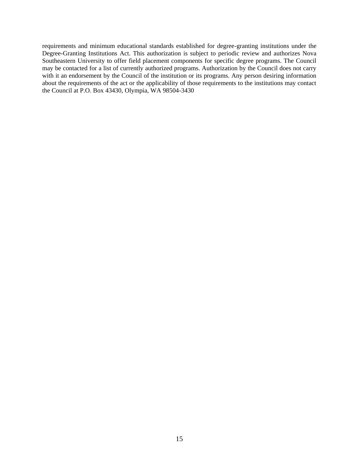requirements and minimum educational standards established for degree-granting institutions under the Degree-Granting Institutions Act. This authorization is subject to periodic review and authorizes Nova Southeastern University to offer field placement components for specific degree programs. The Council may be contacted for a list of currently authorized programs. Authorization by the Council does not carry with it an endorsement by the Council of the institution or its programs. Any person desiring information about the requirements of the act or the applicability of those requirements to the institutions may contact the Council at P.O. Box 43430, Olympia, WA 98504-3430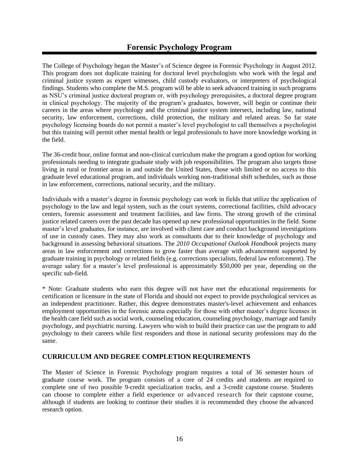The College of Psychology began the Master's of Science degree in Forensic Psychology in August 2012. This program does not duplicate training for doctoral level psychologists who work with the legal and criminal justice system as expert witnesses, child custody evaluators, or interpreters of psychological findings. Students who complete the M.S. program will be able to seek advanced training in such programs as NSU's criminal justice doctoral program or, with psychology prerequisites, a doctoral degree program in clinical psychology. The majority of the program's graduates, however, will begin or continue their careers in the areas where psychology and the criminal justice system intersect, including law, national security, law enforcement, corrections, child protection, the military and related areas. So far state psychology licensing boards do not permit a master's level psychologist to call themselves a psychologist but this training will permit other mental health or legal professionals to have more knowledge working in the field.

The 36-credit hour, online format and non-clinical curriculum make the program a good option for working professionals needing to integrate graduate study with job responsibilities. The program also targets those living in rural or frontier areas in and outside the United States, those with limited or no access to this graduate level educational program, and individuals working non-traditional shift schedules, such as those in law enforcement, corrections, national security, and the military.

Individuals with a master's degree in forensic psychology can work in fields that utilize the application of psychology to the law and legal system, such as the court systems, correctional facilities, child advocacy centers, forensic assessment and treatment facilities, and law firms. The strong growth of the criminal justice related careers over the past decade has opened up new professional opportunities in the field. Some master's level graduates, for instance, are involved with client care and conduct background investigations of use in custody cases. They may also work as consultants due to their knowledge of psychology and background in assessing behavioral situations. The *2010 Occupational Outlook Handbook* projects many areas in law enforcement and corrections to grow faster than average with advancement supported by graduate training in psychology or related fields (e.g. corrections specialists, federal law enforcement). The average salary for a master's level professional is approximately \$50,000 per year, depending on the specific sub-field.

\* Note: Graduate students who earn this degree will not have met the educational requirements for certification or licensure in the state of Florida and should not expect to provide psychological services as an independent practitioner. Rather, this degree demonstrates master's-level achievement and enhances employment opportunities in the forensic arena especially for those with other master's degree licenses in the health care field such as social work, counseling education, counseling psychology, marriage and family psychology, and psychiatric nursing. Lawyers who wish to build their practice can use the program to add psychology to their careers while first responders and those in national security professions may do the same.

# **CURRICULUM AND DEGREE COMPLETION REQUIREMENTS**

The Master of Science in Forensic Psychology program requires a total of 36 semester hours of graduate course work. The program consists of a core of 24 credits and students are required to complete one of two possible 9-credit specialization tracks, and a 3-credit capstone course. Students can choose to complete either a field experience or advanced research for their capstone course, although if students are looking to continue their studies it is recommended they choose the advanced research option.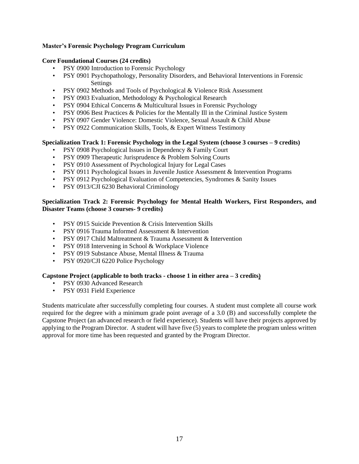# **Master's Forensic Psychology Program Curriculum**

#### **Core Foundational Courses (24 credits)**

- PSY 0900 Introduction to Forensic Psychology
- PSY 0901 Psychopathology, Personality Disorders, and Behavioral Interventions in Forensic Settings
- PSY 0902 Methods and Tools of Psychological & Violence Risk Assessment
- PSY 0903 Evaluation, Methodology & Psychological Research
- PSY 0904 Ethical Concerns & Multicultural Issues in Forensic Psychology
- PSY 0906 Best Practices & Policies for the Mentally Ill in the Criminal Justice System
- PSY 0907 Gender Violence: Domestic Violence, Sexual Assault & Child Abuse
- PSY 0922 Communication Skills, Tools, & Expert Witness Testimony

#### **Specialization Track 1: Forensic Psychology in the Legal System (choose 3 courses – 9 credits)**

- PSY 0908 Psychological Issues in Dependency & Family Court
- PSY 0909 Therapeutic Jurisprudence & Problem Solving Courts
- PSY 0910 Assessment of Psychological Injury for Legal Cases
- PSY 0911 Psychological Issues in Juvenile Justice Assessment & Intervention Programs
- PSY 0912 Psychological Evaluation of Competencies, Syndromes & Sanity Issues
- PSY 0913/CJI 6230 Behavioral Criminology

## **Specialization Track 2: Forensic Psychology for Mental Health Workers, First Responders, and Disaster Teams (choose 3 courses- 9 credits)**

- PSY 0915 Suicide Prevention & Crisis Intervention Skills
- PSY 0916 Trauma Informed Assessment & Intervention
- PSY 0917 Child Maltreatment & Trauma Assessment & Intervention
- PSY 0918 Intervening in School & Workplace Violence
- PSY 0919 Substance Abuse, Mental Illness & Trauma
- PSY 0920/CJI 6220 Police Psychology

#### **Capstone Project (applicable to both tracks - choose 1 in either area – 3 credits)**

- PSY 0930 Advanced Research
- PSY 0931 Field Experience

Students matriculate after successfully completing four courses. A student must complete all course work required for the degree with a minimum grade point average of a 3.0 (B) and successfully complete the Capstone Project (an advanced research or field experience). Students will have their projects approved by applying to the Program Director. A student will have five (5) years to complete the program unless written approval for more time has been requested and granted by the Program Director.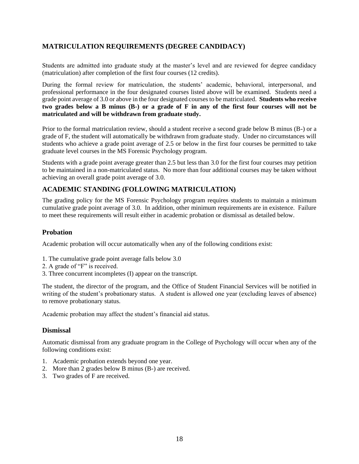# **MATRICULATION REQUIREMENTS (DEGREE CANDIDACY)**

Students are admitted into graduate study at the master's level and are reviewed for degree candidacy (matriculation) after completion of the first four courses (12 credits).

During the formal review for matriculation, the students' academic, behavioral, interpersonal, and professional performance in the four designated courses listed above will be examined. Students need a grade point average of 3.0 or above in the four designated courses to be matriculated. **Students who receive two grades below a B minus (B-) or a grade of F in any of the first four courses will not be matriculated and will be withdrawn from graduate study.** 

Prior to the formal matriculation review, should a student receive a second grade below B minus (B-) or a grade of F, the student will automatically be withdrawn from graduate study. Under no circumstances will students who achieve a grade point average of 2.5 or below in the first four courses be permitted to take graduate level courses in the MS Forensic Psychology program.

Students with a grade point average greater than 2.5 but less than 3.0 for the first four courses may petition to be maintained in a non-matriculated status. No more than four additional courses may be taken without achieving an overall grade point average of 3.0.

# **ACADEMIC STANDING (FOLLOWING MATRICULATION)**

The grading policy for the MS Forensic Psychology program requires students to maintain a minimum cumulative grade point average of 3.0. In addition, other minimum requirements are in existence. Failure to meet these requirements will result either in academic probation or dismissal as detailed below.

# **Probation**

Academic probation will occur automatically when any of the following conditions exist:

- 1. The cumulative grade point average falls below 3.0
- 2. A grade of "F" is received.
- 3. Three concurrent incompletes (I) appear on the transcript.

The student, the director of the program, and the Office of Student Financial Services will be notified in writing of the student's probationary status. A student is allowed one year (excluding leaves of absence) to remove probationary status.

Academic probation may affect the student's financial aid status.

#### **Dismissal**

Automatic dismissal from any graduate program in the College of Psychology will occur when any of the following conditions exist:

- 1. Academic probation extends beyond one year.
- 2. More than 2 grades below B minus (B-) are received.
- 3. Two grades of F are received.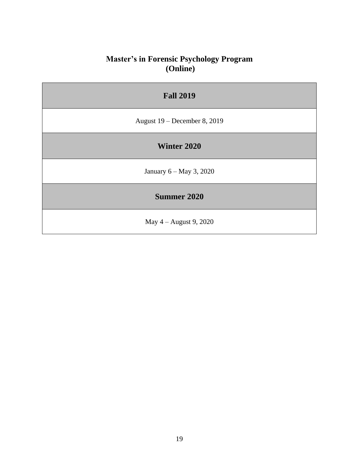# **Master's in Forensic Psychology Program (Online)**

| <b>Fall 2019</b>               |
|--------------------------------|
| August $19$ – December 8, 2019 |
| Winter 2020                    |
| January 6 – May 3, 2020        |
| <b>Summer 2020</b>             |
| May $4 -$ August 9, 2020       |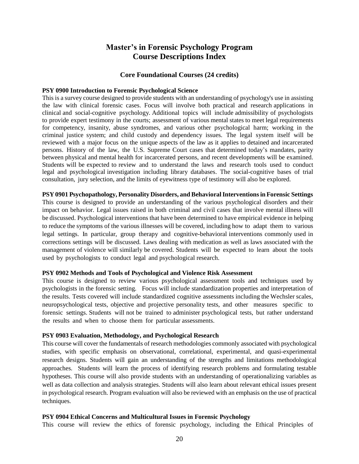# **Master's in Forensic Psychology Program Course Descriptions Index**

## **Core Foundational Courses (24 credits)**

#### **PSY 0900 Introduction to Forensic Psychological Science**

This is a survey course designed to provide students with an understanding of psychology's use in assisting the law with clinical forensic cases. Focus will involve both practical and research applications in clinical and social-cognitive psychology. Additional topics will include admissibility of psychologists to provide expert testimony in the courts; assessment of various mental states to meet legal requirements for competency, insanity, abuse syndromes, and various other psychological harm; working in the criminal justice system; and child custody and dependency issues. The legal system itself will be reviewed with a major focus on the unique aspects of the law as it applies to detained and incarcerated persons. History of the law, the U.S. Supreme Court cases that determined today's mandates, parity between physical and mental health for incarcerated persons, and recent developments will be examined. Students will be expected to review and to understand the laws and research tools used to conduct legal and psychological investigation including library databases. The social-cognitive bases of trial consultation, jury selection, and the limits of eyewitness type of testimony will also be explored.

## **PSY 0901 Psychopathology, Personality Disorders, and BehavioralInterventionsin Forensic Settings**

This course is designed to provide an understanding of the various psychological disorders and their impact on behavior. Legal issues raised in both criminal and civil cases that involve mental illness will be discussed. Psychological interventions that have been determined to have empirical evidence in helping to reduce the symptoms of the various illnesses will be covered, including how to adapt them to various legal settings. In particular, group therapy and cognitive-behavioral interventions commonly used in corrections settings will be discussed. Laws dealing with medication as well as laws associated with the management of violence will similarly be covered. Students will be expected to learn about the tools used by psychologists to conduct legal and psychological research.

#### **PSY 0902 Methods and Tools of Psychological and Violence Risk Assessment**

This course is designed to review various psychological assessment tools and techniques used by psychologists in the forensic setting. Focus will include standardization properties and interpretation of the results. Tests covered will include standardized cognitive assessments including the Wechsler scales, neuropsychological tests, objective and projective personality tests, and other measures specific to forensic settings. Students will not be trained to administer psychological tests, but rather understand the results and when to choose them for particular assessments.

#### **PSY 0903 Evaluation, Methodology, and Psychological Research**

This course will cover the fundamentals of research methodologies commonly associated with psychological studies, with specific emphasis on observational, correlational, experimental, and quasi-experimental research designs. Students will gain an understanding of the strengths and limitations methodological approaches. Students will learn the process of identifying research problems and formulating testable hypotheses. This course will also provide students with an understanding of operationalizing variables as well as data collection and analysis strategies. Students will also learn about relevant ethical issues present in psychological research. Program evaluation will also be reviewed with an emphasis on the use of practical techniques.

#### **PSY 0904 Ethical Concerns and Multicultural Issues in Forensic Psychology**

This course will review the ethics of forensic psychology, including the Ethical Principles of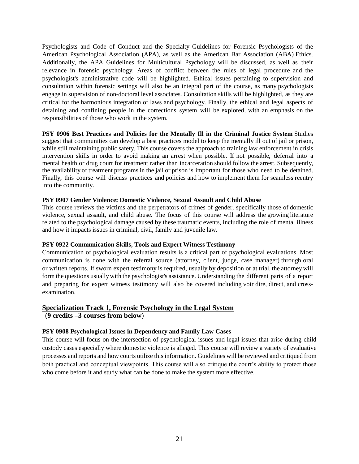Psychologists and Code of Conduct and the Specialty Guidelines for Forensic Psychologists of the American Psychological Association (APA), as well as the American Bar Association (ABA) Ethics. Additionally, the APA Guidelines for Multicultural Psychology will be discussed, as well as their relevance in forensic psychology. Areas of conflict between the rules of legal procedure and the psychologist's administrative code will be highlighted. Ethical issues pertaining to supervision and consultation within forensic settings will also be an integral part of the course, as many psychologists engage in supervision of non-doctoral level associates. Consultation skills will be highlighted, as they are critical for the harmonious integration of laws and psychology. Finally, the ethical and legal aspects of detaining and confining people in the corrections system will be explored, with an emphasis on the responsibilities of those who work in the system.

**PSY 0906 Best Practices and Policies for the Mentally Ill in the Criminal Justice System** Studies suggest that communities can develop a best practices model to keep the mentally ill out of jail or prison, while still maintaining public safety. This course covers the approach to training law enforcement in crisis intervention skills in order to avoid making an arrest when possible. If not possible, deferral into a mental health or drug court for treatment rather than incarceration should follow the arrest. Subsequently, the availability of treatment programs in the jail or prison is important for those who need to be detained. Finally, this course will discuss practices and policies and how to implement them for seamless reentry into the community.

#### **PSY 0907 Gender Violence: Domestic Violence, Sexual Assault and Child Abuse**

This course reviews the victims and the perpetrators of crimes of gender, specifically those of domestic violence, sexual assault, and child abuse. The focus of this course will address the growing literature related to the psychological damage caused by these traumatic events, including the role of mental illness and how it impacts issues in criminal, civil, family and juvenile law.

#### **PSY 0922 Communication Skills, Tools and Expert Witness Testimony**

Communication of psychological evaluation results is a critical part of psychological evaluations. Most communication is done with the referral source (attorney, client, judge, case manager) through oral or written reports. If sworn expert testimony is required, usually by deposition or at trial, the attorney will form the questions usuallywith the psychologist's assistance. Understanding the different parts of a report and preparing for expert witness testimony will also be covered including voir dire, direct, and crossexamination.

#### **Specialization Track 1, Forensic Psychology in the Legal System**

(**9 credits –3 courses from below**)

#### **PSY 0908 Psychological Issues in Dependency and Family Law Cases**

This course will focus on the intersection of psychological issues and legal issues that arise during child custody cases especially where domestic violence is alleged. This course will review a variety of evaluative processes and reports and how courts utilize this information. Guidelines will be reviewed and critiqued from both practical and conceptual viewpoints. This course will also critique the court's ability to protect those who come before it and study what can be done to make the system more effective.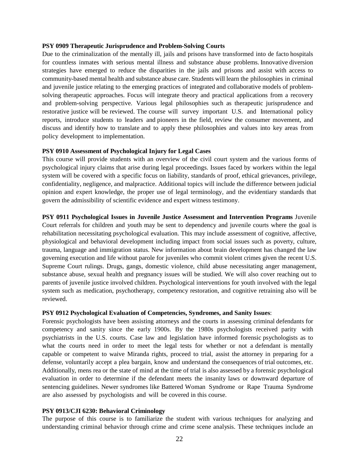#### **PSY 0909 Therapeutic Jurisprudence and Problem-Solving Courts**

Due to the criminalization of the mentally ill, jails and prisons have transformed into de facto hospitals for countless inmates with serious mental illness and substance abuse problems. Innovative diversion strategies have emerged to reduce the disparities in the jails and prisons and assist with access to community-based mental health and substance abuse care. Students will learn the philosophies in criminal and juvenile justice relating to the emerging practices of integrated and collaborative models of problemsolving therapeutic approaches. Focus will integrate theory and practical applications from a recovery and problem-solving perspective. Various legal philosophies such as therapeutic jurisprudence and restorative justice will be reviewed. The course will survey important U.S. and International policy reports, introduce students to leaders and pioneers in the field, review the consumer movement, and discuss and identify how to translate and to apply these philosophies and values into key areas from policy development to implementation.

#### **PSY 0910 Assessment of Psychological Injury for Legal Cases**

This course will provide students with an overview of the civil court system and the various forms of psychological injury claims that arise during legal proceedings. Issues faced by workers within the legal system will be covered with a specific focus on liability, standards of proof, ethical grievances, privilege, confidentiality, negligence, and malpractice. Additional topics will include the difference between judicial opinion and expert knowledge, the proper use of legal terminology, and the evidentiary standards that govern the admissibility of scientific evidence and expert witness testimony.

**PSY 0911 Psychological Issues in Juvenile Justice Assessment and Intervention Programs** Juvenile Court referrals for children and youth may be sent to dependency and juvenile courts where the goal is rehabilitation necessitating psychological evaluation. This may include assessment of cognitive, affective, physiological and behavioral development including impact from social issues such as poverty, culture, trauma, language and immigration status. New information about brain development has changed the law governing execution and life without parole for juveniles who commit violent crimes given the recent U.S. Supreme Court rulings. Drugs, gangs, domestic violence, child abuse necessitating anger management, substance abuse, sexual health and pregnancy issues will be studied. We will also cover reaching out to parents of juvenile justice involved children. Psychological interventions for youth involved with the legal system such as medication, psychotherapy, competency restoration, and cognitive retraining also will be reviewed.

#### **PSY 0912 Psychological Evaluation of Competencies, Syndromes, and Sanity Issues**:

Forensic psychologists have been assisting attorneys and the courts in assessing criminal defendants for competency and sanity since the early 1900s. By the 1980s psychologists received parity with psychiatrists in the U.S. courts. Case law and legislation have informed forensic psychologists as to what the courts need in order to meet the legal tests for whether or not a defendant is mentally capable or competent to waive Miranda rights, proceed to trial, assist the attorney in preparing for a defense, voluntarily accept a plea bargain, know and understand the consequences of trial outcomes, etc. Additionally, mens rea or the state of mind at the time of trial is also assessed by a forensic psychological evaluation in order to determine if the defendant meets the insanity laws or downward departure of sentencing guidelines. Newer syndromes like Battered Woman Syndrome or Rape Trauma Syndrome are also assessed by psychologists and will be covered in this course.

# **PSY 0913/CJI 6230: Behavioral Criminology**

The purpose of this course is to familiarize the student with various techniques for analyzing and understanding criminal behavior through crime and crime scene analysis. These techniques include an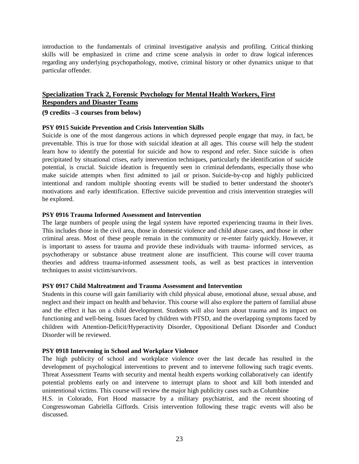introduction to the fundamentals of criminal investigative analysis and profiling. Critical thinking skills will be emphasized in crime and crime scene analysis in order to draw logical inferences regarding any underlying psychopathology, motive, criminal history or other dynamics unique to that particular offender.

# **Specialization Track 2, Forensic Psychology for Mental Health Workers, First Responders and Disaster Teams**

#### **(9 credits –3 courses from below)**

#### **PSY 0915 Suicide Prevention and Crisis Intervention Skills**

Suicide is one of the most dangerous actions in which depressed people engage that may, in fact, be preventable. This is true for those with suicidal ideation at all ages. This course will help the student learn how to identify the potential for suicide and how to respond and refer. Since suicide is often precipitated by situational crises, early intervention techniques, particularly the identification of suicide potential, is crucial. Suicide ideation is frequently seen in criminal defendants, especially those who make suicide attempts when first admitted to jail or prison. Suicide-by-cop and highly publicized intentional and random multiple shooting events will be studied to better understand the shooter's motivations and early identification. Effective suicide prevention and crisis intervention strategies will be explored.

#### **PSY 0916 Trauma Informed Assessment and Intervention**

The large numbers of people using the legal system have reported experiencing trauma in their lives. This includes those in the civil area, those in domestic violence and child abuse cases, and those in other criminal areas. Most of these people remain in the community or re-enter fairly quickly. However, it is important to assess for trauma and provide these individuals with trauma- informed services, as psychotherapy or substance abuse treatment alone are insufficient. This course will cover trauma theories and address trauma-informed assessment tools, as well as best practices in intervention techniques to assist victim/survivors.

#### **PSY 0917 Child Maltreatment and Trauma Assessment and Intervention**

Students in this course will gain familiarity with child physical abuse, emotional abuse, sexual abuse, and neglect and their impact on health and behavior. This course will also explore the pattern of familial abuse and the effect it has on a child development. Students will also learn about trauma and its impact on functioning and well-being. Issues faced by children with PTSD, and the overlapping symptoms faced by children with Attention-Deficit/Hyperactivity Disorder, Oppositional Defiant Disorder and Conduct Disorder will be reviewed.

#### **PSY 0918 Intervening in School and Workplace Violence**

The high publicity of school and workplace violence over the last decade has resulted in the development of psychological interventions to prevent and to intervene following such tragic events. Threat Assessment Teams with security and mental health experts working collaboratively can identify potential problems early on and intervene to interrupt plans to shoot and kill both intended and unintentional victims. This course will review the major high publicity cases such as Columbine H.S. in Colorado, Fort Hood massacre by a military psychiatrist, and the recent shooting of

Congresswoman Gabriella Giffords. Crisis intervention following these tragic events will also be discussed.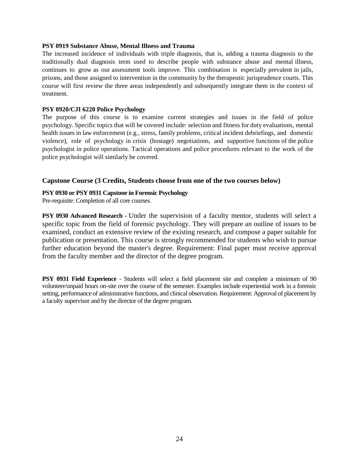#### **PSY 0919 Substance Abuse, Mental Illness and Trauma**

The increased incidence of individuals with triple diagnosis, that is, adding a trauma diagnosis to the traditionally dual diagnosis term used to describe people with substance abuse and mental illness, continues to grow as our assessment tools improve. This combination is especially prevalent in jails, prisons, and those assigned to intervention in the community by the therapeutic jurisprudence courts. This course will first review the three areas independently and subsequently integrate them in the context of treatment.

#### **PSY 0920/CJI 6220 Police Psychology**

The purpose of this course is to examine current strategies and issues in the field of police psychology. Specific topics that will be covered include: selection and fitness for duty evaluations, mental health issues in law enforcement (e.g., stress, family problems, critical incident debriefings, and domestic violence), role of psychology in crisis (hostage) negotiations, and supportive functions of the police psychologist in police operations. Tactical operations and police procedures relevant to the work of the police psychologist will similarly be covered.

# **Capstone Course (3 Credits, Students choose from one of the two courses below)**

## **PSY 0930 or PSY 0931 Capstone in Forensic Psychology**

Pre-requisite: Completion of all core courses.

**PSY 0930 Advanced Research -** Under the supervision of a faculty mentor, students will select a specific topic from the field of forensic psychology. They will prepare an outline of issues to be examined, conduct an extensive review of the existing research, and compose a paper suitable for publication or presentation. This course is strongly recommended for students who wish to pursue further education beyond the master's degree. Requirement: Final paper must receive approval from the faculty member and the director of the degree program.

**PSY 0931 Field Experience** - Students will select a field placement site and complete a minimum of 90 volunteer/unpaid hours on-site over the course of the semester. Examples include experiential work in a forensic setting, performance of administrative functions, and clinical observation. Requirement: Approval of placement by a faculty supervisor and by the director of the degree program.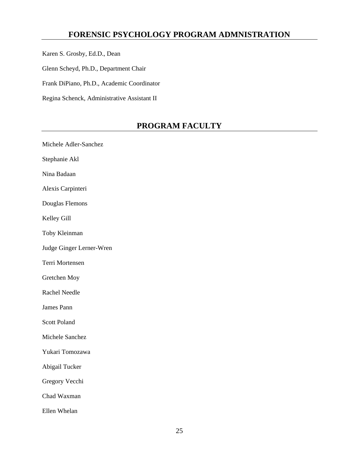# **FORENSIC PSYCHOLOGY PROGRAM ADMNISTRATION**

Karen S. Grosby, Ed.D., Dean

Glenn Scheyd, Ph.D., Department Chair

Frank DiPiano, Ph.D., Academic Coordinator

Regina Schenck, Administrative Assistant II

# **PROGRAM FACULTY**

Michele Adler-Sanchez Stephanie Akl Nina Badaan Alexis Carpinteri Douglas Flemons Kelley Gill Toby Kleinman Judge Ginger Lerner-Wren Terri Mortensen Gretchen Moy Rachel Needle James Pann Scott Poland Michele Sanchez Yukari Tomozawa Abigail Tucker Gregory Vecchi Chad Waxman Ellen Whelan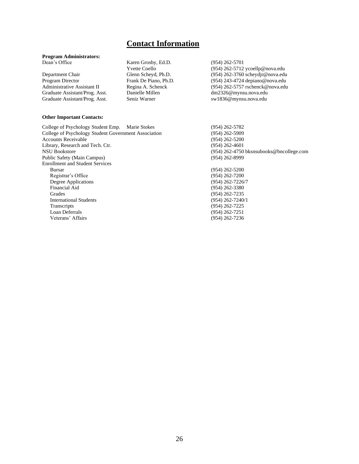# **Contact Information**

# **Program Administrators:**

Department Chair Glenn Scheyd, Ph.D. (954) 262-3760 scheydjr@nova.edu Program Director Frank De Piano, Ph.D. (954) 243-4724 depiano@nova.edu<br>Administrative Assistant II Regina A. Schenck (954) 262-5757 rschenck@nova.edu Graduate Assistant/Prog. Asst. Danielle Millen dm2326@mynsu.nova.edu Graduate Assistant/Prog. Asst. Seniz Warner sw1836@mynsu.nova.edu

# Karen Grosby, Ed.D. (954) 262-5701<br>Yvette Coello (954) 262-5712

Yvette Coello (954) 262-5712 ycoellp@nova.edu<br>Glenn Scheyd, Ph.D. (954) 262-3760 scheydjr@nova.edu  $(954)$  262-5757 rschenck@nova.edu

#### **Other Important Contacts:**

College of Psychology Student Emp. Marie Stokes (954) 262-5782 College of Psychology Student Government Association (954) 262-5909 Accounts Receivable (954) 262-5200 Library, Research and Tech. Ctr. (954) 262-4601 NSU Bookstore (954) 262-4750 bksnsubooks@bncollege.com Public Safety (Main Campus) (954) 262-8999 Enrollment and Student Services Bursar (954) 262-5200 Registrar's Office (954) 262-7200 Degree Applications (954) 262-7226/7<br>
Financial Aid (954) 262-3380 Financial Aid (954) 262-3380<br>
Grades (954) 262-7235 **International Students**<br>Transcripts Transcripts (954) 262-7225<br>
Loan Deferrals (954) 262-7251 Veterans' Affairs (954) 262-7236

(954) 262-7235<br>(954) 262-7240/1 (954) 262-7251